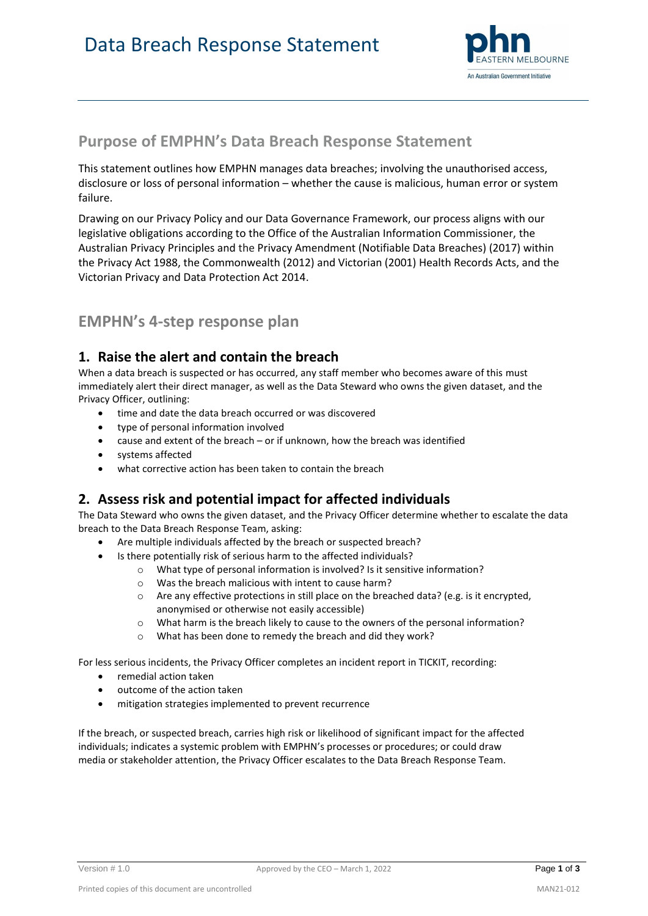

## **Purpose of EMPHN's Data Breach Response Statement**

This statement outlines how EMPHN manages data breaches; involving the unauthorised access, disclosure or loss of personal information – whether the cause is malicious, human error or system failure.

Drawing on our Privacy Policy and our Data Governance Framework, our process aligns with our legislative obligations according to the Office of the Australian Information Commissioner, the Australian Privacy Principles and the Privacy Amendment (Notifiable Data Breaches) (2017) within the Privacy Act 1988, the Commonwealth (2012) and Victorian (2001) Health Records Acts, and the Victorian Privacy and Data Protection Act 2014.

# **EMPHN's 4-step response plan**

### **1. Raise the alert and contain the breach**

When a data breach is suspected or has occurred, any staff member who becomes aware of this must immediately alert their direct manager, as well as the Data Steward who owns the given dataset, and the Privacy Officer, outlining:

- time and date the data breach occurred or was discovered
- type of personal information involved
- cause and extent of the breach or if unknown, how the breach was identified
- systems affected
- what corrective action has been taken to contain the breach

### **2. Assess risk and potential impact for affected individuals**

The Data Steward who owns the given dataset, and the Privacy Officer determine whether to escalate the data breach to the Data Breach Response Team, asking:

- Are multiple individuals affected by the breach or suspected breach?
- Is there potentially risk of serious harm to the affected individuals?
	- o What type of personal information is involved? Is it sensitive information?
	- o Was the breach malicious with intent to cause harm?
	- $\circ$  Are any effective protections in still place on the breached data? (e.g. is it encrypted, anonymised or otherwise not easily accessible)
	- o What harm is the breach likely to cause to the owners of the personal information?
	- o What has been done to remedy the breach and did they work?

For less serious incidents, the Privacy Officer completes an incident report in TICKIT, recording:

- remedial action taken
- outcome of the action taken
- mitigation strategies implemented to prevent recurrence

If the breach, or suspected breach, carries high risk or likelihood of significant impact for the affected individuals; indicates a systemic problem with EMPHN's processes or procedures; or could draw media or stakeholder attention, the Privacy Officer escalates to the Data Breach Response Team.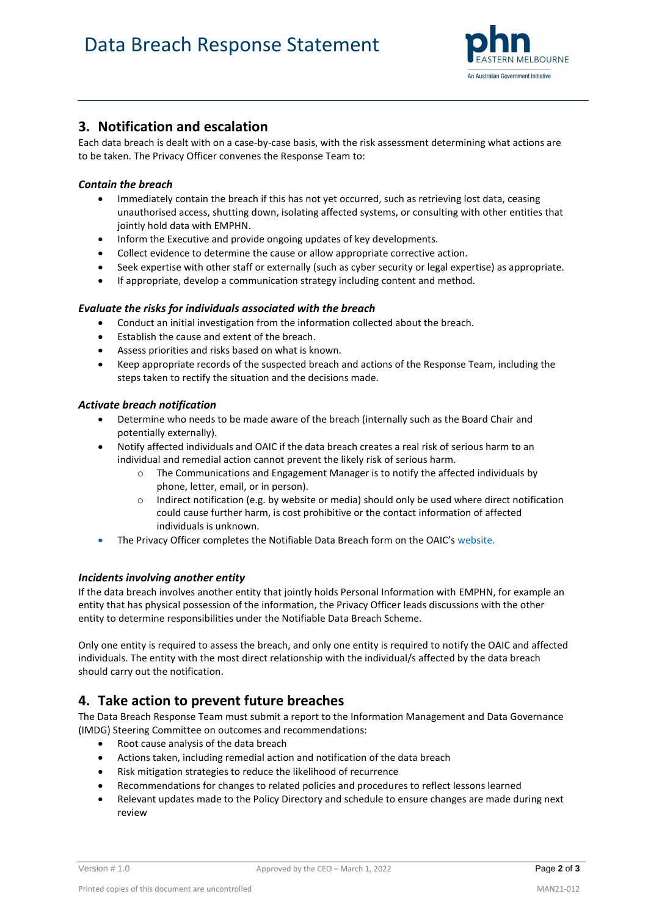

### **3. Notification and escalation**

Each data breach is dealt with on a case-by-case basis, with the risk assessment determining what actions are to be taken. The Privacy Officer convenes the Response Team to:

#### *Contain the breach*

- Immediately contain the breach if this has not yet occurred, such as retrieving lost data, ceasing unauthorised access, shutting down, isolating affected systems, or consulting with other entities that jointly hold data with EMPHN.
- Inform the Executive and provide ongoing updates of key developments.
- Collect evidence to determine the cause or allow appropriate corrective action.
- Seek expertise with other staff or externally (such as cyber security or legal expertise) as appropriate.
- If appropriate, develop a communication strategy including content and method.

#### *Evaluate the risks for individuals associated with the breach*

- Conduct an initial investigation from the information collected about the breach.
- Establish the cause and extent of the breach.
- Assess priorities and risks based on what is known.
- Keep appropriate records of the suspected breach and actions of the Response Team, including the steps taken to rectify the situation and the decisions made.

#### *Activate breach notification*

- Determine who needs to be made aware of the breach (internally such as the Board Chair and potentially externally).
- Notify affected individuals and OAIC if the data breach creates a real risk of serious harm to an individual and remedial action cannot prevent the likely risk of serious harm.
	- The Communications and Engagement Manager is to notify the affected individuals by phone, letter, email, or in person).
	- $\circ$  Indirect notification (e.g. by website or media) should only be used where direct notification could cause further harm, is cost prohibitive or the contact information of affected individuals is unknown.
- The Privacy Officer completes the Notifiable Data Breach form on the OAIC's website.

#### *Incidents involving another entity*

If the data breach involves another entity that jointly holds Personal Information with EMPHN, for example an entity that has physical possession of the information, the Privacy Officer leads discussions with the other entity to determine responsibilities under the Notifiable Data Breach Scheme.

Only one entity is required to assess the breach, and only one entity is required to notify the OAIC and affected individuals. The entity with the most direct relationship with the individual/s affected by the data breach should carry out the notification.

### **4. Take action to prevent future breaches**

The Data Breach Response Team must submit a report to the Information Management and Data Governance (IMDG) Steering Committee on outcomes and recommendations:

- Root cause analysis of the data breach
- Actions taken, including remedial action and notification of the data breach
- Risk mitigation strategies to reduce the likelihood of recurrence
- Recommendations for changes to related policies and procedures to reflect lessons learned
- Relevant updates made to the Policy Directory and schedule to ensure changes are made during next review